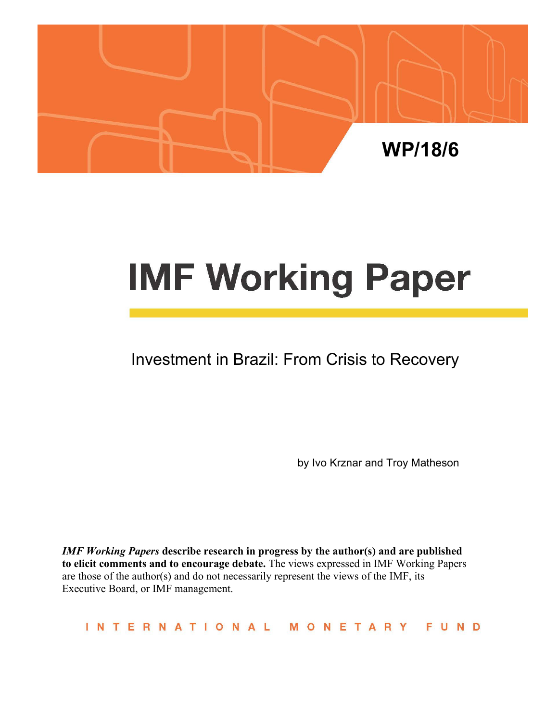

# **IMF Working Paper**

## Investment in Brazil: From Crisis to Recovery

by Ivo Krznar and Troy Matheson

*IMF Working Papers* **describe research in progress by the author(s) and are published to elicit comments and to encourage debate.** The views expressed in IMF Working Papers are those of the author(s) and do not necessarily represent the views of the IMF, its Executive Board, or IMF management.

**INTERNATIONAL** MONETARY FUND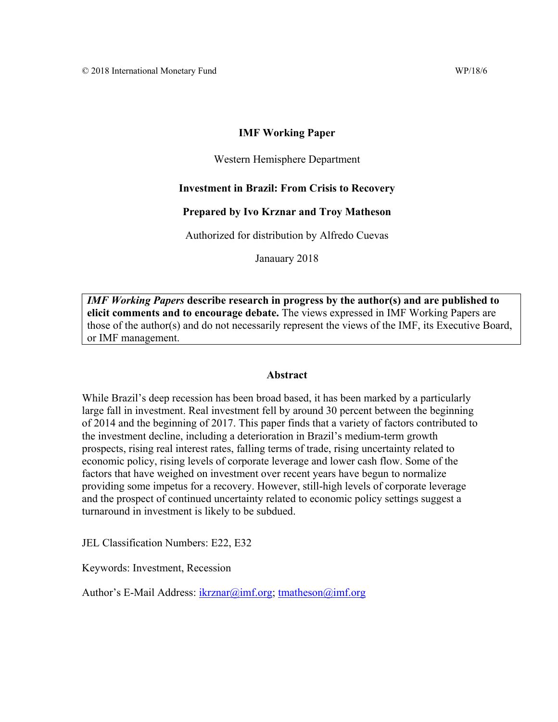#### **IMF Working Paper**

#### Western Hemisphere Department

#### **Investment in Brazil: From Crisis to Recovery**

#### **Prepared by Ivo Krznar and Troy Matheson**

Authorized for distribution by Alfredo Cuevas

Janauary 2018

*IMF Working Papers* **describe research in progress by the author(s) and are published to elicit comments and to encourage debate.** The views expressed in IMF Working Papers are those of the author(s) and do not necessarily represent the views of the IMF, its Executive Board, or IMF management.

#### **Abstract**

While Brazil's deep recession has been broad based, it has been marked by a particularly large fall in investment. Real investment fell by around 30 percent between the beginning of 2014 and the beginning of 2017. This paper finds that a variety of factors contributed to the investment decline, including a deterioration in Brazil's medium-term growth prospects, rising real interest rates, falling terms of trade, rising uncertainty related to economic policy, rising levels of corporate leverage and lower cash flow. Some of the factors that have weighed on investment over recent years have begun to normalize providing some impetus for a recovery. However, still-high levels of corporate leverage and the prospect of continued uncertainty related to economic policy settings suggest a turnaround in investment is likely to be subdued.

JEL Classification Numbers: E22, E32

Keywords: Investment, Recession

Author's E-Mail Address: ikrznar@imf.org; tmatheson@imf.org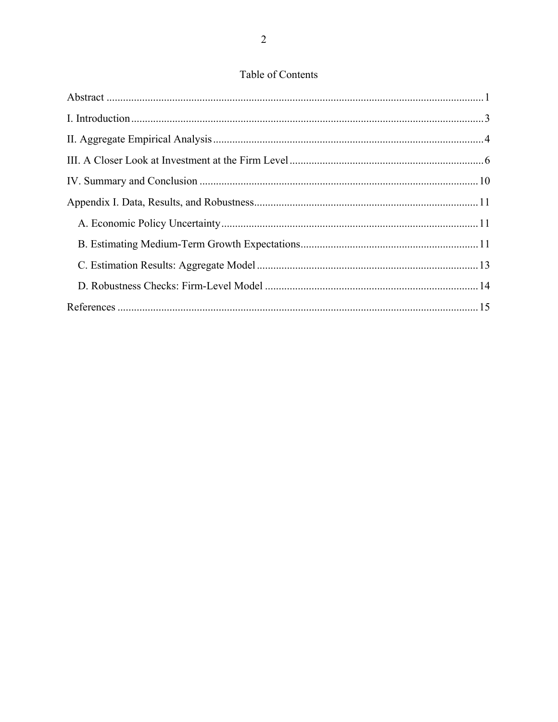#### Table of Contents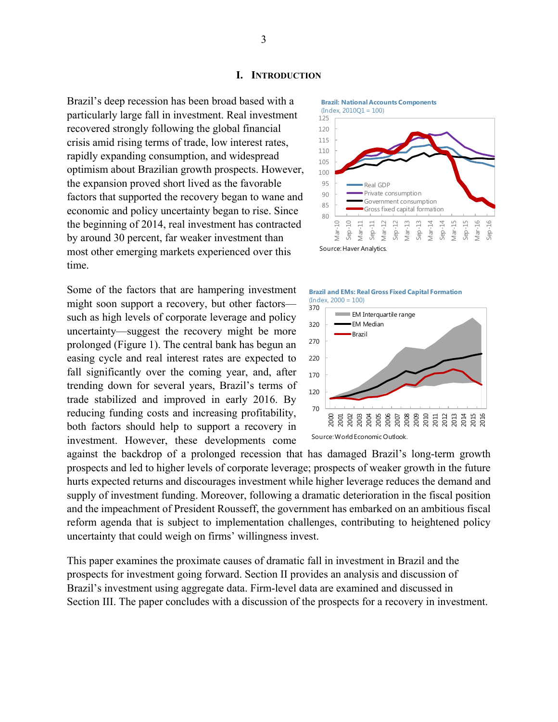#### **I. INTRODUCTION**

Brazil's deep recession has been broad based with a particularly large fall in investment. Real investment recovered strongly following the global financial crisis amid rising terms of trade, low interest rates, rapidly expanding consumption, and widespread optimism about Brazilian growth prospects. However, the expansion proved short lived as the favorable factors that supported the recovery began to wane and economic and policy uncertainty began to rise. Since the beginning of 2014, real investment has contracted by around 30 percent, far weaker investment than most other emerging markets experienced over this time.

Some of the factors that are hampering investment might soon support a recovery, but other factors such as high levels of corporate leverage and policy uncertainty—suggest the recovery might be more prolonged (Figure 1). The central bank has begun an easing cycle and real interest rates are expected to fall significantly over the coming year, and, after trending down for several years, Brazil's terms of trade stabilized and improved in early 2016. By reducing funding costs and increasing profitability, both factors should help to support a recovery in investment. However, these developments come







against the backdrop of a prolonged recession that has damaged Brazil's long-term growth prospects and led to higher levels of corporate leverage; prospects of weaker growth in the future hurts expected returns and discourages investment while higher leverage reduces the demand and supply of investment funding. Moreover, following a dramatic deterioration in the fiscal position and the impeachment of President Rousseff, the government has embarked on an ambitious fiscal reform agenda that is subject to implementation challenges, contributing to heightened policy uncertainty that could weigh on firms' willingness invest.

This paper examines the proximate causes of dramatic fall in investment in Brazil and the prospects for investment going forward. Section II provides an analysis and discussion of Brazil's investment using aggregate data. Firm-level data are examined and discussed in Section III. The paper concludes with a discussion of the prospects for a recovery in investment.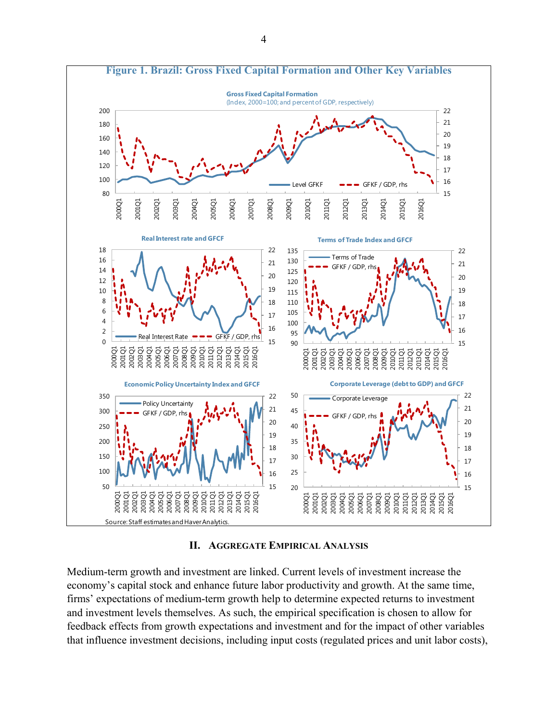

**II. AGGREGATE EMPIRICAL ANALYSIS**

Medium-term growth and investment are linked. Current levels of investment increase the economy's capital stock and enhance future labor productivity and growth. At the same time, firms' expectations of medium-term growth help to determine expected returns to investment and investment levels themselves. As such, the empirical specification is chosen to allow for feedback effects from growth expectations and investment and for the impact of other variables that influence investment decisions, including input costs (regulated prices and unit labor costs),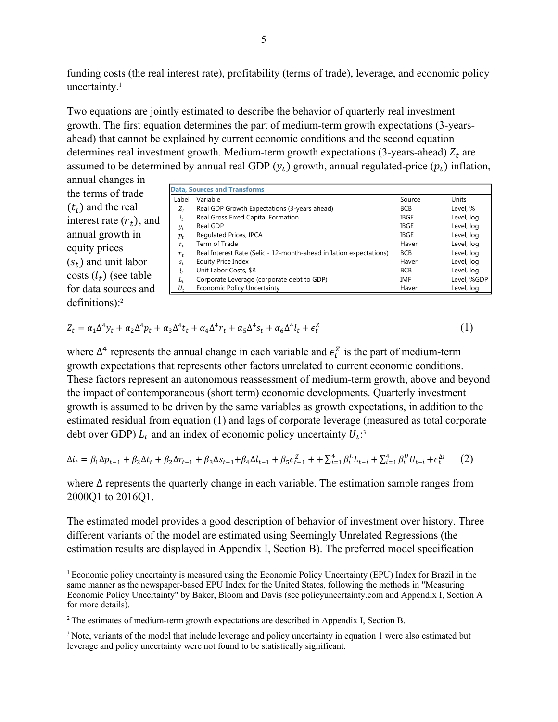funding costs (the real interest rate), profitability (terms of trade), leverage, and economic policy uncertainty.<sup>1</sup>

Two equations are jointly estimated to describe the behavior of quarterly real investment growth. The first equation determines the part of medium-term growth expectations (3-yearsahead) that cannot be explained by current economic conditions and the second equation determines real investment growth. Medium-term growth expectations (3-years-ahead)  $Z_t$  are assumed to be determined by annual real GDP  $(y_t)$  growth, annual regulated-price  $(p_t)$  inflation,

annual changes in the terms of trade  $(t_t)$  and the real interest rate  $(r_t)$ , and annual growth in equity prices  $(s_t)$  and unit labor costs  $(l_t)$  (see table for data sources and definitions):2

1

|         | <b>Data, Sources and Transforms</b>                                |             |             |
|---------|--------------------------------------------------------------------|-------------|-------------|
| Label   | Variable                                                           | Source      | Units       |
| $Z_t$   | Real GDP Growth Expectations (3-years ahead)                       | <b>BCB</b>  | Level, %    |
| $i_t$   | Real Gross Fixed Capital Formation                                 | <b>IBGE</b> | Level, log  |
| $y_t$   | Real GDP                                                           | <b>IBGE</b> | Level, log  |
| $p_t$   | Regulated Prices, IPCA                                             | <b>IBGE</b> | Level, log  |
| $t_t$   | Term of Trade                                                      | Haver       | Level, log  |
| $r_{t}$ | Real Interest Rate (Selic - 12-month-ahead inflation expectations) | <b>BCB</b>  | Level, log  |
| $S_t$   | <b>Equity Price Index</b>                                          | Haver       | Level, log  |
| $l_t$   | Unit Labor Costs, \$R                                              | <b>BCB</b>  | Level, log  |
| $L_t$   | Corporate Leverage (corporate debt to GDP)                         | <b>IMF</b>  | Level, %GDP |
| $U_{t}$ | <b>Economic Policy Uncertainty</b>                                 | Haver       | Level, log  |

$$
Z_t = \alpha_1 \Delta^4 y_t + \alpha_2 \Delta^4 p_t + \alpha_3 \Delta^4 t_t + \alpha_4 \Delta^4 r_t + \alpha_5 \Delta^4 s_t + \alpha_6 \Delta^4 t_t + \epsilon_t^2
$$
\n<sup>(1)</sup>

where  $\Delta^4$  represents the annual change in each variable and  $\epsilon_t^Z$  is the part of medium-term growth expectations that represents other factors unrelated to current economic conditions. These factors represent an autonomous reassessment of medium-term growth, above and beyond the impact of contemporaneous (short term) economic developments. Quarterly investment growth is assumed to be driven by the same variables as growth expectations, in addition to the estimated residual from equation (1) and lags of corporate leverage (measured as total corporate debt over GDP)  $L_t$  and an index of economic policy uncertainty  $U_t$ :<sup>3</sup>

$$
\Delta i_t = \beta_1 \Delta p_{t-1} + \beta_2 \Delta t_t + \beta_2 \Delta r_{t-1} + \beta_3 \Delta s_{t-1} + \beta_4 \Delta t_{t-1} + \beta_5 \epsilon_{t-1}^2 + \sum_{i=1}^4 \beta_i^L L_{t-i} + \sum_{i=1}^4 \beta_i^U U_{t-i} + \epsilon_t^{\Delta i} \tag{2}
$$

where ∆ represents the quarterly change in each variable. The estimation sample ranges from 2000Q1 to 2016Q1.

The estimated model provides a good description of behavior of investment over history. Three different variants of the model are estimated using Seemingly Unrelated Regressions (the estimation results are displayed in Appendix I, Section B). The preferred model specification

<sup>1</sup> Economic policy uncertainty is measured using the Economic Policy Uncertainty (EPU) Index for Brazil in the same manner as the newspaper-based EPU Index for the United States, following the methods in "Measuring Economic Policy Uncertainty" by Baker, Bloom and Davis (see policyuncertainty.com and Appendix I, Section A for more details).

<sup>2</sup> The estimates of medium-term growth expectations are described in Appendix I, Section B.

<sup>&</sup>lt;sup>3</sup> Note, variants of the model that include leverage and policy uncertainty in equation 1 were also estimated but leverage and policy uncertainty were not found to be statistically significant.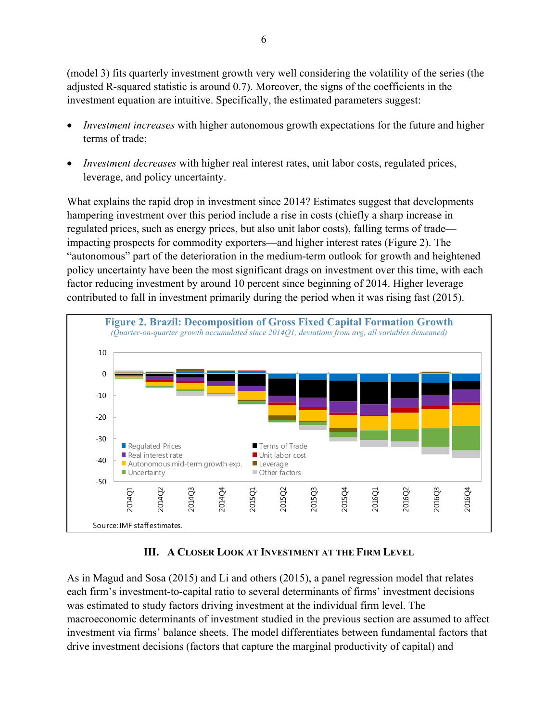(model 3) fits quarterly investment growth very well considering the volatility of the series (the adjusted R-squared statistic is around 0.7). Moreover, the signs of the coefficients in the investment equation are intuitive. Specifically, the estimated parameters suggest:

- *Investment increases* with higher autonomous growth expectations for the future and higher terms of trade;
- *Investment decreases* with higher real interest rates, unit labor costs, regulated prices, leverage, and policy uncertainty.

What explains the rapid drop in investment since 2014? Estimates suggest that developments hampering investment over this period include a rise in costs (chiefly a sharp increase in regulated prices, such as energy prices, but also unit labor costs), falling terms of trade impacting prospects for commodity exporters—and higher interest rates (Figure 2). The "autonomous" part of the deterioration in the medium-term outlook for growth and heightened policy uncertainty have been the most significant drags on investment over this time, with each factor reducing investment by around 10 percent since beginning of 2014. Higher leverage contributed to fall in investment primarily during the period when it was rising fast (2015).



#### **III. A CLOSER LOOK AT INVESTMENT AT THE FIRM LEVEL**

As in Magud and Sosa (2015) and Li and others (2015), a panel regression model that relates each firm's investment-to-capital ratio to several determinants of firms' investment decisions was estimated to study factors driving investment at the individual firm level. The macroeconomic determinants of investment studied in the previous section are assumed to affect investment via firms' balance sheets. The model differentiates between fundamental factors that drive investment decisions (factors that capture the marginal productivity of capital) and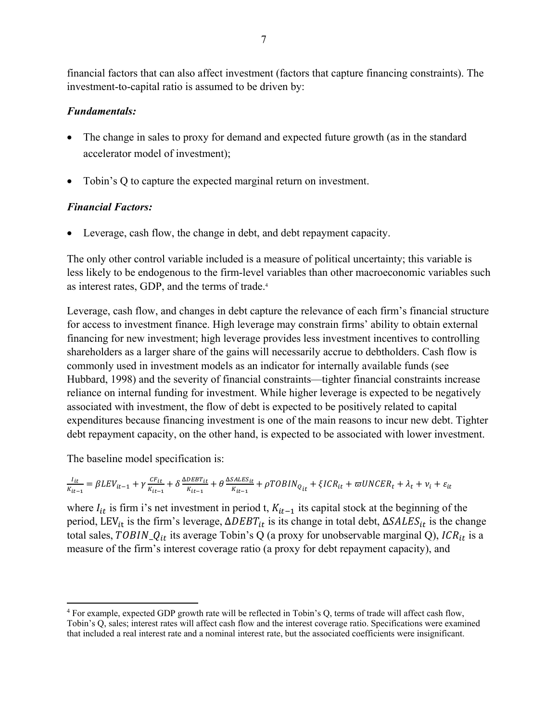financial factors that can also affect investment (factors that capture financing constraints). The investment-to-capital ratio is assumed to be driven by:

#### *Fundamentals:*

- The change in sales to proxy for demand and expected future growth (as in the standard accelerator model of investment);
- Tobin's Q to capture the expected marginal return on investment.

#### *Financial Factors:*

Leverage, cash flow, the change in debt, and debt repayment capacity.

The only other control variable included is a measure of political uncertainty; this variable is less likely to be endogenous to the firm-level variables than other macroeconomic variables such as interest rates, GDP, and the terms of trade.4

Leverage, cash flow, and changes in debt capture the relevance of each firm's financial structure for access to investment finance. High leverage may constrain firms' ability to obtain external financing for new investment; high leverage provides less investment incentives to controlling shareholders as a larger share of the gains will necessarily accrue to debtholders. Cash flow is commonly used in investment models as an indicator for internally available funds (see Hubbard, 1998) and the severity of financial constraints—tighter financial constraints increase reliance on internal funding for investment. While higher leverage is expected to be negatively associated with investment, the flow of debt is expected to be positively related to capital expenditures because financing investment is one of the main reasons to incur new debt. Tighter debt repayment capacity, on the other hand, is expected to be associated with lower investment.

The baseline model specification is:

$$
\frac{I_{it}}{K_{it-1}} = \beta L E V_{it-1} + \gamma \frac{c F_{it}}{K_{it-1}} + \delta \frac{\Delta DEBT_{it}}{K_{it-1}} + \theta \frac{\Delta S A L E S_{it}}{K_{it-1}} + \rho TOBIN_{Q_{it}} + \xi I C R_{it} + \varpi UN C E R_{t} + \lambda_{t} + \nu_{i} + \varepsilon_{it}
$$

where  $I_{it}$  is firm i's net investment in period t,  $K_{it-1}$  its capital stock at the beginning of the period, LEV<sub>it</sub> is the firm's leverage,  $ΔDEBT_{it}$  is its change in total debt,  $ΔSALES_{it}$  is the change total sales, TOBIN\_Q<sub>it</sub> its average Tobin's Q (a proxy for unobservable marginal Q), ICR<sub>it</sub> is a measure of the firm's interest coverage ratio (a proxy for debt repayment capacity), and

<sup>&</sup>lt;u>.</u> 4 For example, expected GDP growth rate will be reflected in Tobin's Q, terms of trade will affect cash flow, Tobin's Q, sales; interest rates will affect cash flow and the interest coverage ratio. Specifications were examined that included a real interest rate and a nominal interest rate, but the associated coefficients were insignificant.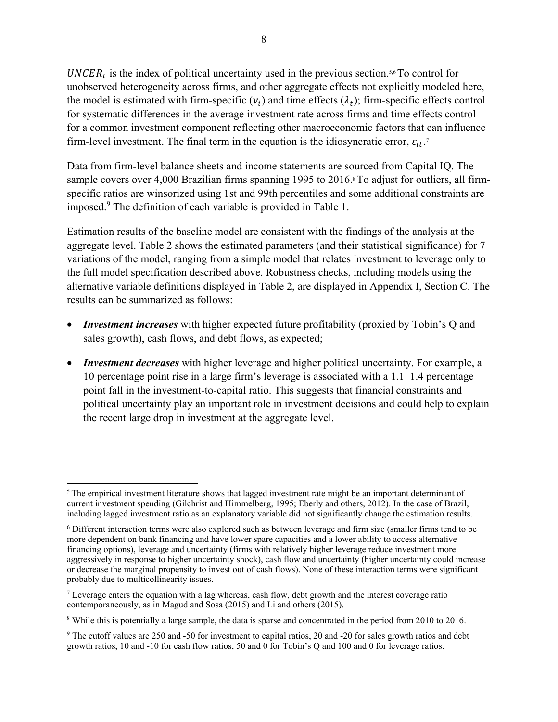$UNCER<sub>t</sub>$  is the index of political uncertainty used in the previous section.<sup>5,6</sup> To control for unobserved heterogeneity across firms, and other aggregate effects not explicitly modeled here, the model is estimated with firm-specific  $(v_i)$  and time effects  $(\lambda_t)$ ; firm-specific effects control for systematic differences in the average investment rate across firms and time effects control for a common investment component reflecting other macroeconomic factors that can influence firm-level investment. The final term in the equation is the idiosyncratic error,  $\varepsilon_{it}$ .<sup>7</sup>

Data from firm-level balance sheets and income statements are sourced from Capital IQ. The sample covers over 4,000 Brazilian firms spanning 1995 to 2016.<sup>8</sup> To adjust for outliers, all firmspecific ratios are winsorized using 1st and 99th percentiles and some additional constraints are imposed.<sup>9</sup> The definition of each variable is provided in Table 1.

Estimation results of the baseline model are consistent with the findings of the analysis at the aggregate level. Table 2 shows the estimated parameters (and their statistical significance) for 7 variations of the model, ranging from a simple model that relates investment to leverage only to the full model specification described above. Robustness checks, including models using the alternative variable definitions displayed in Table 2, are displayed in Appendix I, Section C. The results can be summarized as follows:

- *Investment increases* with higher expected future profitability (proxied by Tobin's Q and sales growth), cash flows, and debt flows, as expected;
- *Investment decreases* with higher leverage and higher political uncertainty. For example, a 10 percentage point rise in a large firm's leverage is associated with a 1.1‒1.4 percentage point fall in the investment-to-capital ratio. This suggests that financial constraints and political uncertainty play an important role in investment decisions and could help to explain the recent large drop in investment at the aggregate level.

<sup>&</sup>lt;u>.</u> <sup>5</sup> The empirical investment literature shows that lagged investment rate might be an important determinant of current investment spending (Gilchrist and Himmelberg, 1995; Eberly and others, 2012). In the case of Brazil, including lagged investment ratio as an explanatory variable did not significantly change the estimation results.

<sup>6</sup> Different interaction terms were also explored such as between leverage and firm size (smaller firms tend to be more dependent on bank financing and have lower spare capacities and a lower ability to access alternative financing options), leverage and uncertainty (firms with relatively higher leverage reduce investment more aggressively in response to higher uncertainty shock), cash flow and uncertainty (higher uncertainty could increase or decrease the marginal propensity to invest out of cash flows). None of these interaction terms were significant probably due to multicollinearity issues.

<sup>&</sup>lt;sup>7</sup> Leverage enters the equation with a lag whereas, cash flow, debt growth and the interest coverage ratio contemporaneously, as in Magud and Sosa (2015) and Li and others (2015).

<sup>&</sup>lt;sup>8</sup> While this is potentially a large sample, the data is sparse and concentrated in the period from 2010 to 2016.

<sup>&</sup>lt;sup>9</sup> The cutoff values are 250 and -50 for investment to capital ratios, 20 and -20 for sales growth ratios and debt growth ratios, 10 and -10 for cash flow ratios, 50 and 0 for Tobin's Q and 100 and 0 for leverage ratios.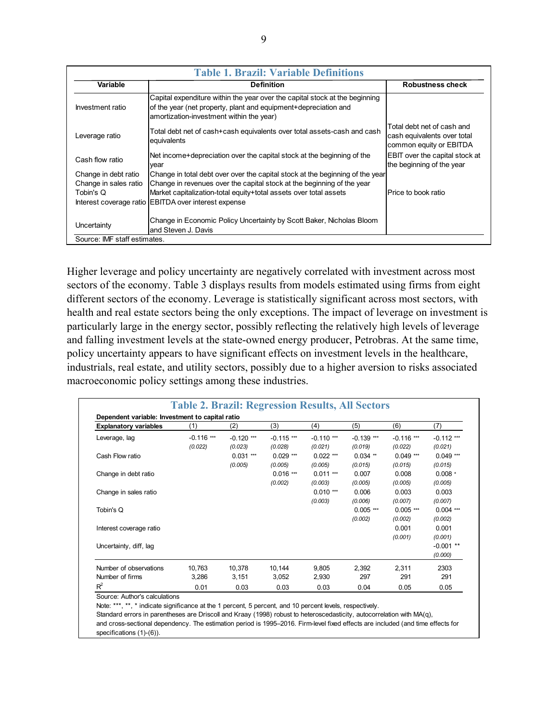|                                               | <b>Table 1. Brazil: Variable Definitions</b>                                                                                                                                               |                                                                                      |  |  |  |  |  |
|-----------------------------------------------|--------------------------------------------------------------------------------------------------------------------------------------------------------------------------------------------|--------------------------------------------------------------------------------------|--|--|--|--|--|
| Variable                                      | <b>Definition</b>                                                                                                                                                                          | <b>Robustness check</b>                                                              |  |  |  |  |  |
| Investment ratio                              | Capital expenditure within the year over the capital stock at the beginning<br>of the year (net property, plant and equipment+depreciation and<br>amortization-investment within the year) |                                                                                      |  |  |  |  |  |
| Leverage ratio                                | Total debt net of cash+cash equivalents over total assets-cash and cash<br>equivalents                                                                                                     | Total debt net of cash and<br>cash equivalents over total<br>common equity or EBITDA |  |  |  |  |  |
| Cash flow ratio                               | Net income+depreciation over the capital stock at the beginning of the<br>year                                                                                                             | EBIT over the capital stock at<br>the beginning of the year                          |  |  |  |  |  |
| Change in debt ratio<br>Change in sales ratio | Change in total debt over over the capital stock at the beginning of the year<br>Change in revenues over the capital stock at the beginning of the year                                    |                                                                                      |  |  |  |  |  |
| Tobin's Q                                     | Market capitalization-total equity+total assets over total assets<br>Interest coverage ratio EBITDA over interest expense                                                                  | Price to book ratio                                                                  |  |  |  |  |  |
| Uncertainty                                   | Change in Economic Policy Uncertainty by Scott Baker, Nicholas Bloom<br>and Steven J. Davis                                                                                                |                                                                                      |  |  |  |  |  |
| Source: IMF staff estimates.                  |                                                                                                                                                                                            |                                                                                      |  |  |  |  |  |

Higher leverage and policy uncertainty are negatively correlated with investment across most sectors of the economy. Table 3 displays results from models estimated using firms from eight different sectors of the economy. Leverage is statistically significant across most sectors, with health and real estate sectors being the only exceptions. The impact of leverage on investment is particularly large in the energy sector, possibly reflecting the relatively high levels of leverage and falling investment levels at the state-owned energy producer, Petrobras. At the same time, policy uncertainty appears to have significant effects on investment levels in the healthcare, industrials, real estate, and utility sectors, possibly due to a higher aversion to risks associated macroeconomic policy settings among these industries.

| <b>Explanatory variables</b> | (1)          | (2)          | (3)          | (4)          | (5)          | (6)          | (7)          |
|------------------------------|--------------|--------------|--------------|--------------|--------------|--------------|--------------|
| Leverage, lag                | $-0.116$ *** | $-0.120$ *** | $-0.115$ *** | $-0.110$ *** | $-0.139$ *** | $-0.116$ *** | $-0.112$ *** |
|                              | (0.022)      | (0.023)      | (0.028)      | (0.021)      | (0.019)      | (0.022)      | (0.021)      |
| Cash Flow ratio              |              | $0.031***$   | $0.029***$   | $0.022$ ***  | $0.034$ **   | $0.049***$   | $0.049***$   |
|                              |              | (0.005)      | (0.005)      | (0.005)      | (0.015)      | (0.015)      | (0.015)      |
| Change in debt ratio         |              |              | $0.016$ ***  | $0.011***$   | 0.007        | 0.008        | $0.008 *$    |
|                              |              |              | (0.002)      | (0.003)      | (0.005)      | (0.005)      | (0.005)      |
| Change in sales ratio        |              |              |              | $0.010***$   | 0.006        | 0.003        | 0.003        |
|                              |              |              |              | (0.003)      | (0.006)      | (0.007)      | (0.007)      |
| Tobin's Q                    |              |              |              |              | $0.005$ ***  | $0.005***$   | $0.004$ ***  |
|                              |              |              |              |              | (0.002)      | (0.002)      | (0.002)      |
| Interest coverage ratio      |              |              |              |              |              | 0.001        | 0.001        |
|                              |              |              |              |              |              | (0.001)      | (0.001)      |
| Uncertainty, diff, lag       |              |              |              |              |              |              | $-0.001$ **  |
|                              |              |              |              |              |              |              | (0.000)      |
| Number of observations       | 10,763       | 10,378       | 10,144       | 9,805        | 2,392        | 2.311        | 2303         |
| Number of firms              | 3,286        | 3,151        | 3,052        | 2,930        | 297          | 291          | 291          |
| $R^2$                        | 0.01         | 0.03         | 0.03         | 0.03         | 0.04         | 0.05         | 0.05         |

Note: \*\*\*, \*\*, \* indicate significance at the 1 percent, 5 percent, and 10 percent levels, respectively.

Standard errors in parentheses are Driscoll and Kraay (1998) robust to heteroscedasticity, autocorrelation with MA(q), and cross-sectional dependency. The estimation period is 1995–2016. Firm-level fixed effects are included (and time effects for specifications (1)-(6)).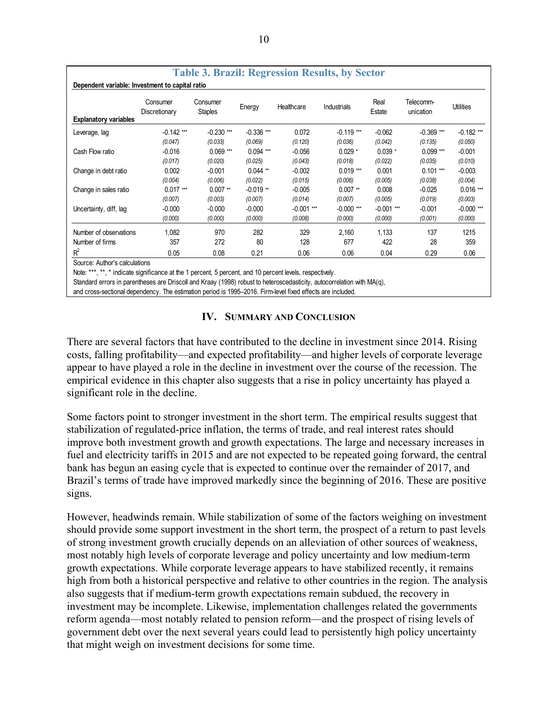| <b>Table 3. Brazil: Regression Results, by Sector</b><br>Dependent variable: Investment to capital ratio |                           |                            |              |              |              |                |                        |              |
|----------------------------------------------------------------------------------------------------------|---------------------------|----------------------------|--------------|--------------|--------------|----------------|------------------------|--------------|
|                                                                                                          | Consumer<br>Discretionary | Consumer<br><b>Staples</b> | Energy       | Healthcare   | Industrials  | Real<br>Estate | Telecomm-<br>unication | Utilities    |
| <b>Explanatory variables</b>                                                                             |                           |                            |              |              |              |                |                        |              |
| Leverage, lag                                                                                            | $-0.142$ ***              | $-0.230$ ***               | $-0.336$ *** | 0.072        | $-0.119$ *** | $-0.062$       | $-0.369$ ***           | $-0.182$ *** |
|                                                                                                          | (0.047)                   | (0.033)                    | (0.069)      | (0.120)      | (0.036)      | (0.042)        | (0.135)                | (0.050)      |
| Cash Flow ratio                                                                                          | $-0.016$                  | $0.069***$                 | $0.094***$   | $-0.056$     | $0.029 *$    | $0.039 *$      | $0.099***$             | $-0.001$     |
|                                                                                                          | (0.017)                   | (0.020)                    | (0.025)      | (0.043)      | (0.018)      | (0.022)        | (0.035)                | (0.010)      |
| Change in debt ratio                                                                                     | 0.002                     | $-0.001$                   | $0.044**$    | $-0.002$     | $0.019***$   | 0.001          | $0.101***$             | $-0.003$     |
|                                                                                                          | (0.004)                   | (0.006)                    | (0.022)      | (0.015)      | (0.006)      | (0.005)        | (0.038)                | (0.004)      |
| Change in sales ratio                                                                                    | $0.017$ ***               | $0.007**$                  | $-0.019**$   | $-0.005$     | $0.007**$    | 0.008          | $-0.025$               | $0.016$ ***  |
|                                                                                                          | (0.007)                   | (0.003)                    | (0.007)      | (0.014)      | (0.007)      | (0.005)        | (0.019)                | (0.003)      |
| Uncertainty, diff, lag                                                                                   | $-0.000$                  | $-0.000$                   | $-0.000$     | $-0.001$ *** | $-0.000$ *** | $-0.001$ ***   | $-0.001$               | $-0.000$ *** |
|                                                                                                          | (0.000)                   | (0.000)                    | (0.000)      | (0.008)      | (0.000)      | (0.000)        | (0.001)                | (0.000)      |
| Number of observations                                                                                   | 1.082                     | 970                        | 282          | 329          | 2.160        | 1.133          | 137                    | 1215         |
| Number of firms                                                                                          | 357                       | 272                        | 80           | 128          | 677          | 422            | 28                     | 359          |
| $R^2$                                                                                                    | 0.05                      | 0.08                       | 0.21         | 0.06         | 0.06         | 0.04           | 0.29                   | 0.06         |

Source: Author's calculations

Note: \*\*\*, \*\*, \* indicate significance at the 1 percent, 5 percent, and 10 percent levels, respectively.

Standard errors in parentheses are Driscoll and Kraay (1998) robust to heteroscedasticity, autocorrelation with MA(q),

and cross-sectional dependency. The estimation period is 1995–2016. Firm-level fixed effects are included.

#### **IV. SUMMARY AND CONCLUSION**

There are several factors that have contributed to the decline in investment since 2014. Rising costs, falling profitability—and expected profitability—and higher levels of corporate leverage appear to have played a role in the decline in investment over the course of the recession. The empirical evidence in this chapter also suggests that a rise in policy uncertainty has played a significant role in the decline.

Some factors point to stronger investment in the short term. The empirical results suggest that stabilization of regulated-price inflation, the terms of trade, and real interest rates should improve both investment growth and growth expectations. The large and necessary increases in fuel and electricity tariffs in 2015 and are not expected to be repeated going forward, the central bank has begun an easing cycle that is expected to continue over the remainder of 2017, and Brazil's terms of trade have improved markedly since the beginning of 2016. These are positive signs.

However, headwinds remain. While stabilization of some of the factors weighing on investment should provide some support investment in the short term, the prospect of a return to past levels of strong investment growth crucially depends on an alleviation of other sources of weakness, most notably high levels of corporate leverage and policy uncertainty and low medium-term growth expectations. While corporate leverage appears to have stabilized recently, it remains high from both a historical perspective and relative to other countries in the region. The analysis also suggests that if medium-term growth expectations remain subdued, the recovery in investment may be incomplete. Likewise, implementation challenges related the governments reform agenda—most notably related to pension reform—and the prospect of rising levels of government debt over the next several years could lead to persistently high policy uncertainty that might weigh on investment decisions for some time.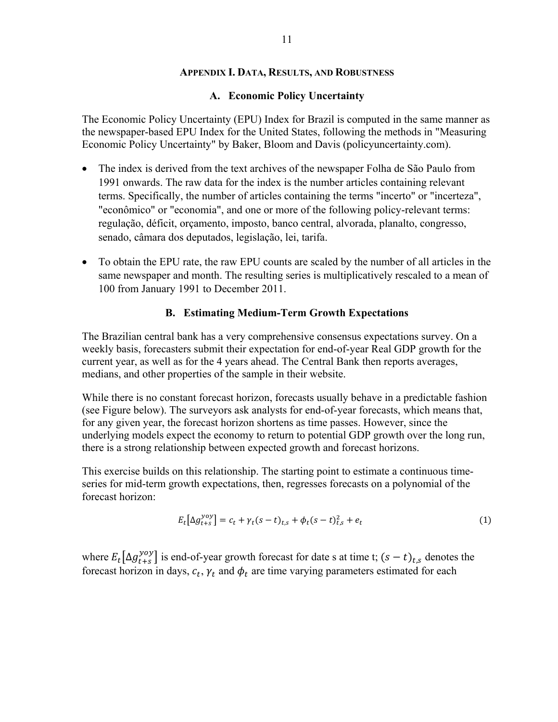#### **APPENDIX I. DATA, RESULTS, AND ROBUSTNESS**

#### **A. Economic Policy Uncertainty**

The Economic Policy Uncertainty (EPU) Index for Brazil is computed in the same manner as the newspaper-based EPU Index for the United States, following the methods in "Measuring Economic Policy Uncertainty" by Baker, Bloom and Davis (policyuncertainty.com).

- The index is derived from the text archives of the newspaper Folha de São Paulo from 1991 onwards. The raw data for the index is the number articles containing relevant terms. Specifically, the number of articles containing the terms "incerto" or "incerteza", "econômico" or "economia", and one or more of the following policy-relevant terms: regulação, déficit, orçamento, imposto, banco central, alvorada, planalto, congresso, senado, câmara dos deputados, legislação, lei, tarifa.
- To obtain the EPU rate, the raw EPU counts are scaled by the number of all articles in the same newspaper and month. The resulting series is multiplicatively rescaled to a mean of 100 from January 1991 to December 2011.

#### **B. Estimating Medium-Term Growth Expectations**

The Brazilian central bank has a very comprehensive consensus expectations survey. On a weekly basis, forecasters submit their expectation for end-of-year Real GDP growth for the current year, as well as for the 4 years ahead. The Central Bank then reports averages, medians, and other properties of the sample in their website.

While there is no constant forecast horizon, forecasts usually behave in a predictable fashion (see Figure below). The surveyors ask analysts for end-of-year forecasts, which means that, for any given year, the forecast horizon shortens as time passes. However, since the underlying models expect the economy to return to potential GDP growth over the long run, there is a strong relationship between expected growth and forecast horizons.

This exercise builds on this relationship. The starting point to estimate a continuous timeseries for mid-term growth expectations, then, regresses forecasts on a polynomial of the forecast horizon:

$$
E_t[\Delta g_{t+s}^{yoy}] = c_t + \gamma_t (s-t)_{t,s} + \phi_t (s-t)_{t,s}^2 + e_t
$$
 (1)

where  $E_t[\Delta g_{t+s}^{yoy}]$  is end-of-year growth forecast for date s at time t;  $(s-t)_{t,s}$  denotes the forecast horizon in days,  $c_t$ ,  $\gamma_t$  and  $\phi_t$  are time varying parameters estimated for each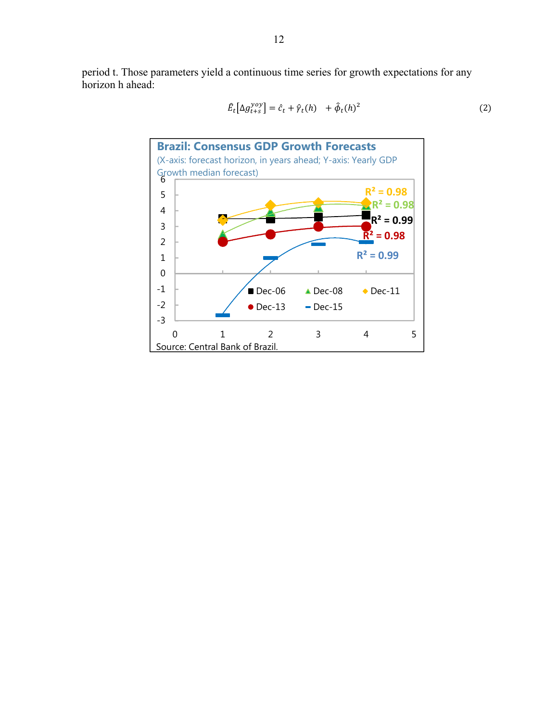period t. Those parameters yield a continuous time series for growth expectations for any horizon h ahead:



$$
\hat{E}_t[\Delta g_{t+s}^{yoy}] = \hat{c}_t + \hat{\gamma}_t(h) + \hat{\phi}_t(h)^2
$$
\n(2)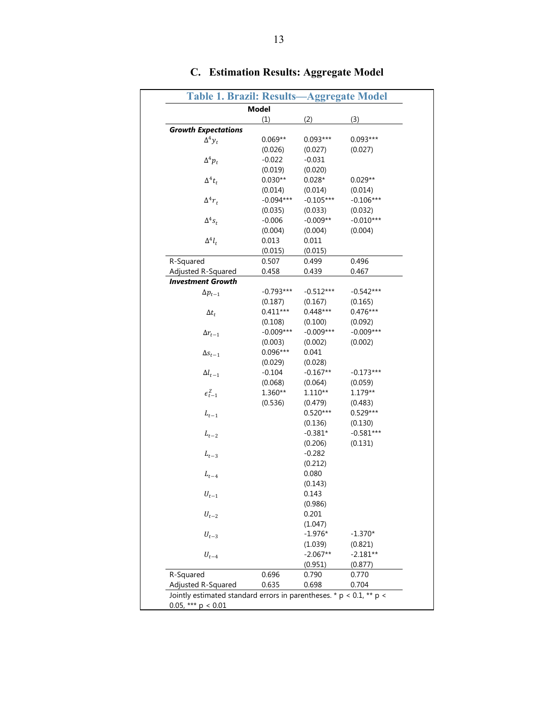|                            | <b>Table 1. Brazil: Results-</b> |             | <b>Aggregate Model</b>                                                   |
|----------------------------|----------------------------------|-------------|--------------------------------------------------------------------------|
|                            | <b>Model</b>                     |             |                                                                          |
|                            | (1)                              | (2)         | (3)                                                                      |
| <b>Growth Expectations</b> |                                  |             |                                                                          |
| $\Delta^4 y_t$             | $0.069**$                        | $0.093***$  | $0.093***$                                                               |
|                            | (0.026)                          | (0.027)     | (0.027)                                                                  |
| $\Delta^4 p_t$             | $-0.022$                         | $-0.031$    |                                                                          |
|                            | (0.019)                          | (0.020)     |                                                                          |
| $\Delta^4 t_t$             | $0.030**$                        | $0.028*$    | $0.029**$                                                                |
|                            | (0.014)                          | (0.014)     | (0.014)                                                                  |
| $\Delta^4 r_t$             | $-0.094***$                      | $-0.105***$ | $-0.106***$                                                              |
|                            | (0.035)                          | (0.033)     | (0.032)                                                                  |
| $\Delta^4 s_t$             | $-0.006$                         | $-0.009**$  | $-0.010***$                                                              |
|                            | (0.004)                          | (0.004)     | (0.004)                                                                  |
| $\Delta^4 l_t$             | 0.013                            | 0.011       |                                                                          |
|                            | (0.015)                          | (0.015)     |                                                                          |
| R-Squared                  | 0.507                            | 0.499       | 0.496                                                                    |
| Adjusted R-Squared         | 0.458                            | 0.439       | 0.467                                                                    |
| <b>Investment Growth</b>   |                                  |             |                                                                          |
| $\Delta p_{t-1}$           | $-0.793***$                      | $-0.512***$ | $-0.542***$                                                              |
|                            | (0.187)                          | (0.167)     | (0.165)                                                                  |
| $\Delta t_t$               | $0.411***$                       | $0.448***$  | $0.476***$                                                               |
|                            | (0.108)                          | (0.100)     | (0.092)                                                                  |
| $\Delta r_{t-1}$           | $-0.009***$                      | $-0.009***$ | $-0.009***$                                                              |
|                            | (0.003)                          | (0.002)     | (0.002)                                                                  |
| $\Delta s_{t-1}$           | $0.096***$                       | 0.041       |                                                                          |
|                            | (0.029)                          | (0.028)     |                                                                          |
| $\Delta l_{t-1}$           | $-0.104$                         | $-0.167**$  | $-0.173***$                                                              |
|                            | (0.068)                          | (0.064)     | (0.059)                                                                  |
| $\epsilon_{t-1}^Z$         | 1.360**                          | $1.110**$   | $1.179**$                                                                |
|                            |                                  |             |                                                                          |
|                            | (0.536)                          | (0.479)     | (0.483)                                                                  |
| $L_{t-1}$                  |                                  | $0.520***$  | $0.529***$                                                               |
|                            |                                  | (0.136)     | (0.130)                                                                  |
| $L_{t-2}$                  |                                  | $-0.381*$   | $-0.581***$                                                              |
|                            |                                  | (0.206)     | (0.131)                                                                  |
| $\mathcal{L}_{t-3}$        |                                  | $-0.282$    |                                                                          |
|                            |                                  | (0.212)     |                                                                          |
| $L_{t-4}$                  |                                  | 0.080       |                                                                          |
|                            |                                  | (0.143)     |                                                                          |
| $U_{t-1}$                  |                                  | 0.143       |                                                                          |
|                            |                                  | (0.986)     |                                                                          |
| $U_{t-2}$                  |                                  | 0.201       |                                                                          |
|                            |                                  | (1.047)     |                                                                          |
| $U_{t-3}$                  |                                  | $-1.976*$   | $-1.370*$                                                                |
|                            |                                  | (1.039)     | (0.821)                                                                  |
| $U_{t-4}$                  |                                  | $-2.067**$  | $-2.181**$                                                               |
|                            |                                  | (0.951)     | (0.877)                                                                  |
| R-Squared                  | 0.696                            | 0.790       | 0.770                                                                    |
| Adjusted R-Squared         | 0.635                            | 0.698       | 0.704                                                                    |
|                            |                                  |             | Jointly estimated standard errors in parentheses. * $p < 0.1$ , ** $p <$ |

### **C. Estimation Results: Aggregate Model**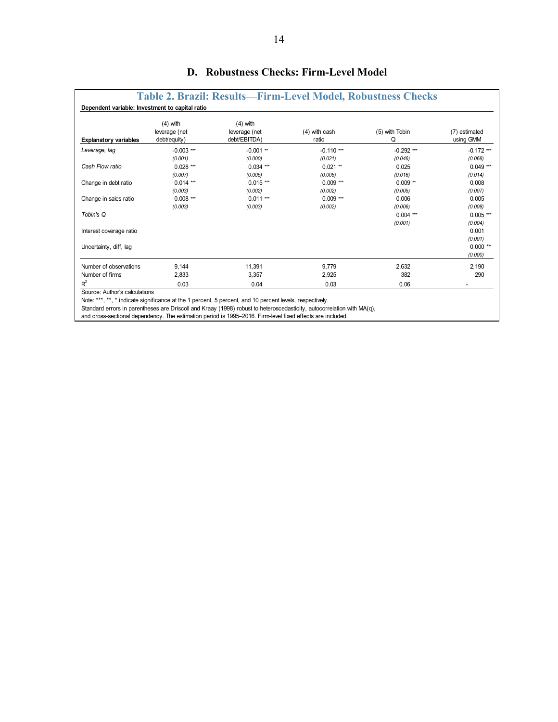| <b>Explanatory variables</b> | $(4)$ with<br>leverage (net<br>debt/equity) | $(4)$ with<br>leverage (net<br>debt/EBITDA) | $(4)$ with cash<br>ratio | (5) with Tobin<br>Q | (7) estimated<br>using GMM |
|------------------------------|---------------------------------------------|---------------------------------------------|--------------------------|---------------------|----------------------------|
| Leverage, lag                | $-0.003$ ***                                | $-0.001$ **                                 | $-0.110$ ***             | $-0.292$ ***        | $-0.172$ ***               |
|                              | (0.001)                                     | (0.000)                                     | (0.021)                  | (0.046)             | (0.068)                    |
| Cash Flow ratio              | $0.028***$                                  | $0.034$ ***                                 | $0.021$ **               | 0.025               | $0.049***$                 |
|                              | (0.007)                                     | (0.005)                                     | (0.005)                  | (0.016)             | (0.014)                    |
| Change in debt ratio         | $0.014***$                                  | $0.015***$                                  | $0.009$ ***              | $0.009**$           | 0.008                      |
|                              | (0.003)                                     | (0.002)                                     | (0.002)                  | (0.005)             | (0.007)                    |
| Change in sales ratio        | $0.008***$                                  | $0.011***$                                  | $0.009***$               | 0.006               | 0.005                      |
|                              | (0.003)                                     | (0.003)                                     | (0.002)                  | (0.006)             | (0.008)                    |
| Tobin's Q                    |                                             |                                             |                          | $0.004$ ***         | $0.005$ ***                |
|                              |                                             |                                             |                          | (0.001)             | (0.004)                    |
| Interest coverage ratio      |                                             |                                             |                          |                     | 0.001                      |
|                              |                                             |                                             |                          |                     | (0.001)                    |
| Uncertainty, diff, lag       |                                             |                                             |                          |                     | $0.000**$                  |
|                              |                                             |                                             |                          |                     | (0.000)                    |
| Number of observations       | 9,144                                       | 11,391                                      | 9,779                    | 2,632               | 2,190                      |
| Number of firms              | 2,833                                       | 3.357                                       | 2,925                    | 382                 | 290                        |
| $R^2$                        | 0.03                                        | 0.04                                        | 0.03                     | 0.06                |                            |

#### **D. Robustness Checks: Firm-Level Model**

Source: Author's calculations

Note: \*\*\*, \*\*, \* indicate significance at the 1 percent, 5 percent, and 10 percent levels, respectively.

Standard errors in parentheses are Driscoll and Kraay (1998) robust to heteroscedasticity, autocorrelation with MA(q),

and cross-sectional dependency. The estimation period is 1995–2016. Firm-level fixed effects are included.